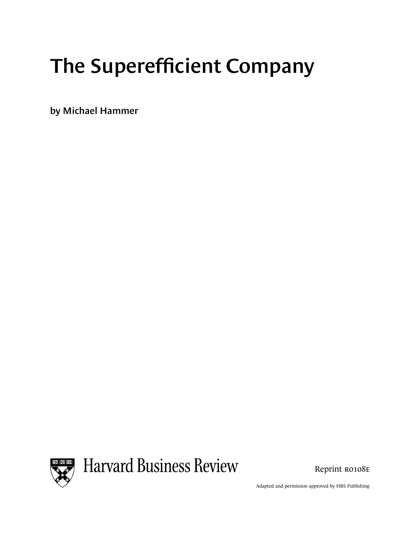## **The Superefficient Company**

**by Michael Hammer**



Reprint R0108E

Adapted and permission approved by HBS Publishing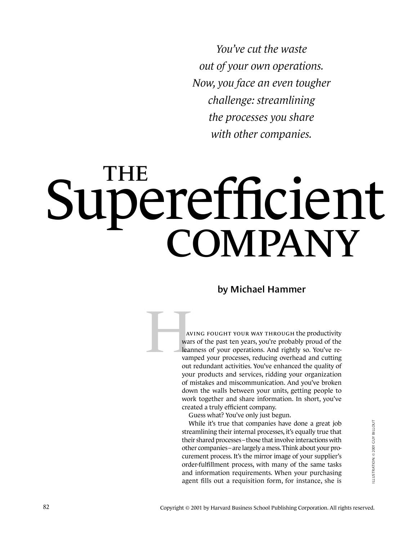*You've cut the waste out of your own operations. Now, you face an even tougher challenge: streamlining the processes you share with other companies.*

# THE Superefficient<br>COMPANY

#### **by Michael Hammer**

Av War<br>
Max<br>
Lear<br>
van<br>
out aving fought your way through the productivity wars of the past ten years, you're probably proud of the leanness of your operations. And rightly so. You've revamped your processes, reducing overhead and cutting out redundant activities. You've enhanced the quality of your products and services, ridding your organization of mistakes and miscommunication. And you've broken down the walls between your units, getting people to work together and share information. In short, you've created a truly efficient company.

Guess what? You've only just begun.

While it's true that companies have done a great job streamlining their internal processes, it's equally true that their shared processes–those that involve interactions with other companies–are largely a mess.Think about your procurement process. It's the mirror image of your supplier's order-fulfillment process, with many of the same tasks and information requirements. When your purchasing agent fills out a requisition form, for instance, she is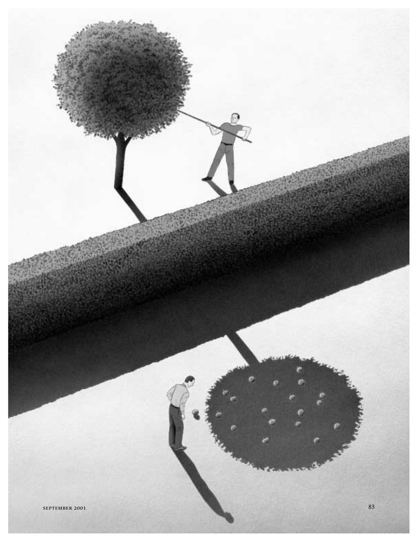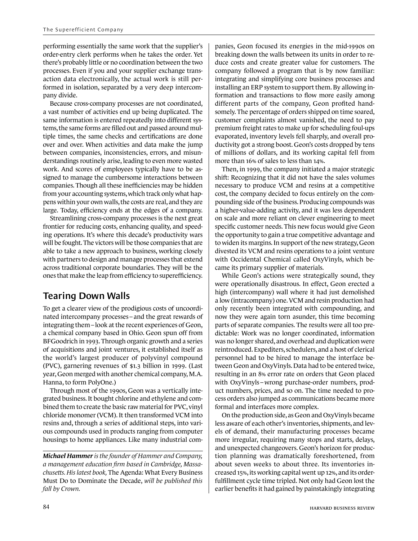performing essentially the same work that the supplier's order-entry clerk performs when he takes the order. Yet there's probably little or no coordination between the two processes. Even if you and your supplier exchange transaction data electronically, the actual work is still performed in isolation, separated by a very deep intercompany divide.

Because cross-company processes are not coordinated, a vast number of activities end up being duplicated. The same information is entered repeatedly into different systems,the same forms are filled out and passed around multiple times, the same checks and certifications are done over and over. When activities and data make the jump between companies, inconsistencies, errors, and misunderstandings routinely arise, leading to even more wasted work. And scores of employees typically have to be assigned to manage the cumbersome interactions between companies. Though all these inefficiencies may be hidden from your accounting systems, which track only what happens within your own walls, the costs are real, and they are large. Today, efficiency ends at the edges of a company.

Streamlining cross-company processes is the next great frontier for reducing costs, enhancing quality, and speeding operations. It's where this decade's productivity wars will be fought. The victors will be those companies that are able to take a new approach to business, working closely with partners to design and manage processes that extend across traditional corporate boundaries. They will be the ones that make the leap from efficiency to superefficiency.

#### **Tearing Down Walls**

To get a clearer view of the prodigious costs of uncoordinated intercompany processes – and the great rewards of integrating them– look at the recent experiences of Geon, a chemical company based in Ohio. Geon spun off from BFGoodrich in 1993. Through organic growth and a series of acquisitions and joint ventures, it established itself as the world's largest producer of polyvinyl compound (PVC), garnering revenues of \$1.3 billion in 1999. (Last year, Geon merged with another chemical company, M.A. Hanna, to form PolyOne.)

Through most of the 1990s, Geon was a vertically integrated business. It bought chlorine and ethylene and combined them to create the basic raw material for PVC, vinyl chloride monomer (VCM). It then transformed VCM into resins and, through a series of additional steps, into various compounds used in products ranging from computer housings to home appliances. Like many industrial com-

*Michael Hammer is the founder of Hammer and Company, a management education firm based in Cambridge, Massachusetts. His latest book,*The Agenda: What Every Business Must Do to Dominate the Decade, *will be published this fall by Crown.*

panies, Geon focused its energies in the mid-1990s on breaking down the walls between its units in order to reduce costs and create greater value for customers. The company followed a program that is by now familiar: integrating and simplifying core business processes and installing an ERP system to support them. By allowing information and transactions to flow more easily among different parts of the company, Geon profited handsomely. The percentage of orders shipped on time soared, customer complaints almost vanished, the need to pay premium freight rates to make up for scheduling foul-ups evaporated, inventory levels fell sharply, and overall productivity got a strong boost. Geon's costs dropped by tens of millions of dollars, and its working capital fell from more than 16% of sales to less than 14%.

Then, in 1999, the company initiated a major strategic shift: Recognizing that it did not have the sales volumes necessary to produce VCM and resins at a competitive cost, the company decided to focus entirely on the compounding side of the business. Producing compounds was a higher-value-adding activity, and it was less dependent on scale and more reliant on clever engineering to meet specific customer needs. This new focus would give Geon the opportunity to gain a true competitive advantage and to widen its margins. In support of the new strategy, Geon divested its VCM and resins operations to a joint venture with Occidental Chemical called OxyVinyls, which became its primary supplier of materials.

While Geon's actions were strategically sound, they were operationally disastrous. In effect, Geon erected a high (intercompany) wall where it had just demolished a low (intracompany) one. VCM and resin production had only recently been integrated with compounding, and now they were again torn asunder, this time becoming parts of separate companies. The results were all too predictable: Work was no longer coordinated, information was no longer shared, and overhead and duplication were reintroduced. Expediters, schedulers, and a host of clerical personnel had to be hired to manage the interface between Geon and OxyVinyls. Data had to be entered twice, resulting in an 8% error rate on orders that Geon placed with OxyVinyls – wrong purchase-order numbers, product numbers, prices, and so on. The time needed to process orders also jumped as communications became more formal and interfaces more complex.

On the production side, as Geon and OxyVinyls became less aware of each other's inventories, shipments, and levels of demand, their manufacturing processes became more irregular, requiring many stops and starts, delays, and unexpected changeovers. Geon's horizon for production planning was dramatically foreshortened, from about seven weeks to about three. Its inventories increased 15%, its working capital went up 12%, and its orderfulfillment cycle time tripled. Not only had Geon lost the earlier benefits it had gained by painstakingly integrating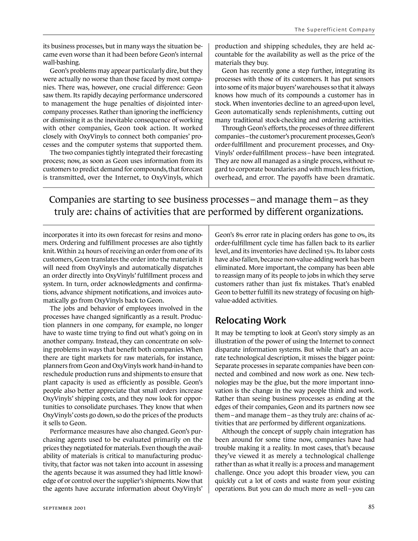its business processes, but in many ways the situation became even worse than it had been before Geon's internal wall-bashing.

Geon's problems may appear particularly dire, but they were actually no worse than those faced by most companies. There was, however, one crucial difference: Geon saw them. Its rapidly decaying performance underscored to management the huge penalties of disjointed intercompany processes. Rather than ignoring the inefficiency or dismissing it as the inevitable consequence of working with other companies, Geon took action. It worked closely with OxyVinyls to connect both companies' processes and the computer systems that supported them.

The two companies tightly integrated their forecasting process; now, as soon as Geon uses information from its customers to predict demand for compounds, that forecast is transmitted, over the Internet, to OxyVinyls, which production and shipping schedules, they are held accountable for the availability as well as the price of the materials they buy.

Geon has recently gone a step further, integrating its processes with those of its customers. It has put sensors into some of its major buyers'warehouses so that it always knows how much of its compounds a customer has in stock. When inventories decline to an agreed-upon level, Geon automatically sends replenishments, cutting out many traditional stock-checking and ordering activities.

Through Geon's efforts, the processes of three different companies–the customer's procurement processes,Geon's order-fulfillment and procurement processes, and Oxy-Vinyls' order-fulfillment process – have been integrated. They are now all managed as a single process, without regard to corporate boundaries and with much less friction, overhead, and error. The payoffs have been dramatic.

Companies are starting to see business processes – and manage them – as they truly are: chains of activities that are performed by different organizations.

incorporates it into its own forecast for resins and monomers. Ordering and fulfillment processes are also tightly knit. Within 24 hours of receiving an order from one of its customers, Geon translates the order into the materials it will need from OxyVinyls and automatically dispatches an order directly into OxyVinyls' fulfillment process and system. In turn, order acknowledgments and confirmations, advance shipment notifications, and invoices automatically go from OxyVinyls back to Geon.

The jobs and behavior of employees involved in the processes have changed significantly as a result. Production planners in one company, for example, no longer have to waste time trying to find out what's going on in another company. Instead, they can concentrate on solving problems in ways that benefit both companies. When there are tight markets for raw materials, for instance, planners from Geon and OxyVinyls work hand-in-hand to reschedule production runs and shipments to ensure that plant capacity is used as efficiently as possible. Geon's people also better appreciate that small orders increase OxyVinyls' shipping costs, and they now look for opportunities to consolidate purchases. They know that when OxyVinyls'costs go down, so do the prices of the products it sells to Geon.

Performance measures have also changed. Geon's purchasing agents used to be evaluated primarily on the prices they negotiated for materials.Even though the availability of materials is critical to manufacturing productivity, that factor was not taken into account in assessing the agents because it was assumed they had little knowledge of or control over the supplier's shipments. Now that the agents have accurate information about OxyVinyls' Geon's 8% error rate in placing orders has gone to 0%, its order-fulfillment cycle time has fallen back to its earlier level, and its inventories have declined 15%. Its labor costs have also fallen, because non-value-adding work has been eliminated. More important, the company has been able to reassign many of its people to jobs in which they serve customers rather than just fix mistakes. That's enabled Geon to better fulfill its new strategy of focusing on highvalue-added activities.

#### **Relocating Work**

It may be tempting to look at Geon's story simply as an illustration of the power of using the Internet to connect disparate information systems. But while that's an accurate technological description, it misses the bigger point: Separate processes in separate companies have been connected and combined and now work as one. New technologies may be the glue, but the more important innovation is the change in the way people think and work. Rather than seeing business processes as ending at the edges of their companies, Geon and its partners now see them– and manage them– as they truly are: chains of activities that are performed by different organizations.

Although the concept of supply chain integration has been around for some time now, companies have had trouble making it a reality. In most cases, that's because they've viewed it as merely a technological challenge rather than as what it really is: a process and management challenge. Once you adopt this broader view, you can quickly cut a lot of costs and waste from your existing operations. But you can do much more as well – you can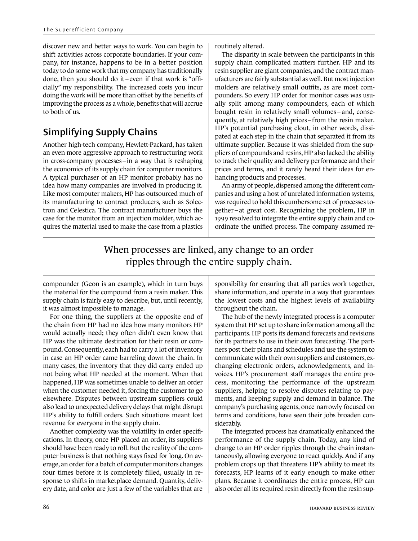discover new and better ways to work. You can begin to shift activities across corporate boundaries. If your company, for instance, happens to be in a better position today to do some work that my company has traditionally done, then you should do it – even if that work is "officially" my responsibility. The increased costs you incur doing the work will be more than offset by the benefits of improving the process as a whole, benefits that will accrue to both of us.

#### **Simplifying Supply Chains**

Another high-tech company, Hewlett-Packard, has taken an even more aggressive approach to restructuring work in cross-company processes – in a way that is reshaping the economics of its supply chain for computer monitors. A typical purchaser of an HP monitor probably has no idea how many companies are involved in producing it. Like most computer makers, HP has outsourced much of its manufacturing to contract producers, such as Solectron and Celestica. The contract manufacturer buys the case for the monitor from an injection molder, which acquires the material used to make the case from a plastics

routinely altered.

The disparity in scale between the participants in this supply chain complicated matters further. HP and its resin supplier are giant companies, and the contract manufacturers are fairly substantial as well. But most injection molders are relatively small outfits, as are most compounders. So every HP order for monitor cases was usually split among many compounders, each of which bought resin in relatively small volumes – and, consequently, at relatively high prices – from the resin maker. HP's potential purchasing clout, in other words, dissipated at each step in the chain that separated it from its ultimate supplier. Because it was shielded from the suppliers of compounds and resins, HP also lacked the ability to track their quality and delivery performance and their prices and terms, and it rarely heard their ideas for enhancing products and processes.

An army of people, dispersed among the different companies and using a host of unrelated information systems, was required to hold this cumbersome set of processes together – at great cost. Recognizing the problem, HP in 1999 resolved to integrate the entire supply chain and coordinate the unified process. The company assumed re-

#### When processes are linked, any change to an order ripples through the entire supply chain.

compounder (Geon is an example), which in turn buys the material for the compound from a resin maker. This supply chain is fairly easy to describe, but, until recently, it was almost impossible to manage.

For one thing, the suppliers at the opposite end of the chain from HP had no idea how many monitors HP would actually need; they often didn't even know that HP was the ultimate destination for their resin or compound. Consequently, each had to carry a lot of inventory in case an HP order came barreling down the chain. In many cases, the inventory that they did carry ended up not being what HP needed at the moment. When that happened, HP was sometimes unable to deliver an order when the customer needed it, forcing the customer to go elsewhere. Disputes between upstream suppliers could also lead to unexpected delivery delays that might disrupt HP's ability to fulfill orders. Such situations meant lost revenue for everyone in the supply chain.

Another complexity was the volatility in order specifications. In theory, once HP placed an order, its suppliers should have been ready to roll. But the reality of the computer business is that nothing stays fixed for long. On average, an order for a batch of computer monitors changes four times before it is completely filled, usually in response to shifts in marketplace demand. Quantity, delivery date, and color are just a few of the variables that are sponsibility for ensuring that all parties work together, share information, and operate in a way that guarantees the lowest costs and the highest levels of availability throughout the chain.

The hub of the newly integrated process is a computer system that HP set up to share information among all the participants. HP posts its demand forecasts and revisions for its partners to use in their own forecasting. The partners post their plans and schedules and use the system to communicate with their own suppliers and customers, exchanging electronic orders, acknowledgments, and invoices. HP's procurement staff manages the entire process, monitoring the performance of the upstream suppliers, helping to resolve disputes relating to payments, and keeping supply and demand in balance. The company's purchasing agents, once narrowly focused on terms and conditions, have seen their jobs broaden considerably.

The integrated process has dramatically enhanced the performance of the supply chain. Today, any kind of change to an HP order ripples through the chain instantaneously, allowing everyone to react quickly. And if any problem crops up that threatens HP's ability to meet its forecasts, HP learns of it early enough to make other plans. Because it coordinates the entire process, HP can also order all its required resin directly from the resin sup-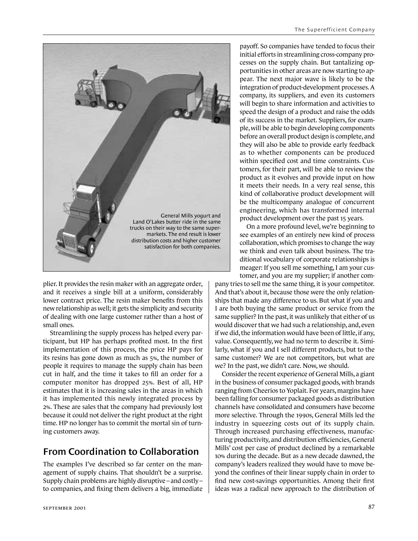

plier. It provides the resin maker with an aggregate order, and it receives a single bill at a uniform, considerably lower contract price. The resin maker benefits from this new relationship as well; it gets the simplicity and security of dealing with one large customer rather than a host of small ones.

Streamlining the supply process has helped every participant, but HP has perhaps profited most. In the first implementation of this process, the price HP pays for its resins has gone down as much as 5%, the number of people it requires to manage the supply chain has been cut in half, and the time it takes to fill an order for a computer monitor has dropped 25%. Best of all, HP estimates that it is increasing sales in the areas in which it has implemented this newly integrated process by 2%. These are sales that the company had previously lost because it could not deliver the right product at the right time. HP no longer has to commit the mortal sin of turning customers away.

#### **From Coordination to Collaboration**

The examples I've described so far center on the management of supply chains. That shouldn't be a surprise. Supply chain problems are highly disruptive – and costly – to companies, and fixing them delivers a big, immediate

payoff. So companies have tended to focus their initial efforts in streamlining cross-company processes on the supply chain. But tantalizing opportunities in other areas are now starting to appear. The next major wave is likely to be the integration of product-development processes. A company, its suppliers, and even its customers will begin to share information and activities to speed the design of a product and raise the odds of its success in the market. Suppliers, for example, will be able to begin developing components before an overall product design is complete, and they will also be able to provide early feedback as to whether components can be produced within specified cost and time constraints. Customers, for their part, will be able to review the product as it evolves and provide input on how it meets their needs. In a very real sense, this kind of collaborative product development will be the multicompany analogue of concurrent engineering, which has transformed internal product development over the past 15 years.

On a more profound level, we're beginning to see examples of an entirely new kind of process collaboration, which promises to change the way we think and even talk about business. The traditional vocabulary of corporate relationships is meager: If you sell me something, I am your customer, and you are my supplier; if another com-

pany tries to sell me the same thing, it is your competitor. And that's about it, because those were the only relationships that made any difference to us. But what if you and I are both buying the same product or service from the same supplier? In the past, it was unlikely that either of us would discover that we had such a relationship, and, even if we did, the information would have been of little, if any, value. Consequently, we had no term to describe it. Similarly, what if you and I sell different products, but to the same customer? We are not competitors, but what are we? In the past, we didn't care. Now, we should.

Consider the recent experience of General Mills, a giant in the business of consumer packaged goods, with brands ranging from Cheerios to Yoplait. For years, margins have been falling for consumer packaged goods as distribution channels have consolidated and consumers have become more selective. Through the 1990s, General Mills led the industry in squeezing costs out of its supply chain. Through increased purchasing effectiveness, manufacturing productivity, and distribution efficiencies, General Mills' cost per case of product declined by a remarkable 10% during the decade. But as a new decade dawned, the company's leaders realized they would have to move beyond the confines of their linear supply chain in order to find new cost-savings opportunities. Among their first ideas was a radical new approach to the distribution of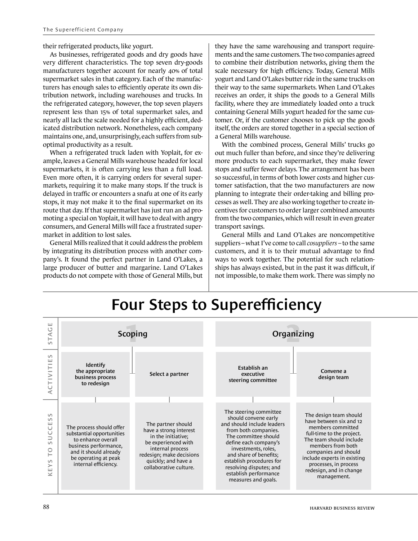their refrigerated products, like yogurt.

As businesses, refrigerated goods and dry goods have very different characteristics. The top seven dry-goods manufacturers together account for nearly 40% of total supermarket sales in that category. Each of the manufacturers has enough sales to efficiently operate its own distribution network, including warehouses and trucks. In the refrigerated category, however, the top seven players represent less than 15% of total supermarket sales, and nearly all lack the scale needed for a highly efficient, dedicated distribution network. Nonetheless, each company maintains one, and, unsurprisingly, each suffers from suboptimal productivity as a result.

When a refrigerated truck laden with Yoplait, for example, leaves a General Mills warehouse headed for local supermarkets, it is often carrying less than a full load. Even more often, it is carrying orders for several supermarkets, requiring it to make many stops. If the truck is delayed in traffic or encounters a snafu at one of its early stops, it may not make it to the final supermarket on its route that day. If that supermarket has just run an ad promoting a special on Yoplait, it will have to deal with angry consumers, and General Mills will face a frustrated supermarket in addition to lost sales.

General Mills realized that it could address the problem by integrating its distribution process with another company's. It found the perfect partner in Land O'Lakes, a large producer of butter and margarine. Land O'Lakes products do not compete with those of General Mills, but they have the same warehousing and transport requirements and the same customers.The two companies agreed to combine their distribution networks, giving them the scale necessary for high efficiency. Today, General Mills yogurt and Land O'Lakes butter ride in the same trucks on their way to the same supermarkets. When Land O'Lakes receives an order, it ships the goods to a General Mills facility, where they are immediately loaded onto a truck containing General Mills yogurt headed for the same customer. Or, if the customer chooses to pick up the goods itself, the orders are stored together in a special section of a General Mills warehouse.

With the combined process, General Mills' trucks go out much fuller than before, and since they're delivering more products to each supermarket, they make fewer stops and suffer fewer delays. The arrangement has been so successful, in terms of both lower costs and higher customer satisfaction, that the two manufacturers are now planning to integrate their order-taking and billing processes as well. They are also working together to create incentives for customers to order larger combined amounts from the two companies, which will result in even greater transport savings.

General Mills and Land O'Lakes are noncompetitive suppliers – what I've come to call *cosuppliers* – to the same customers, and it is to their mutual advantage to find ways to work together. The potential for such relationships has always existed, but in the past it was difficult, if not impossible, to make them work. There was simply no



### **Four Steps to Superefficiency**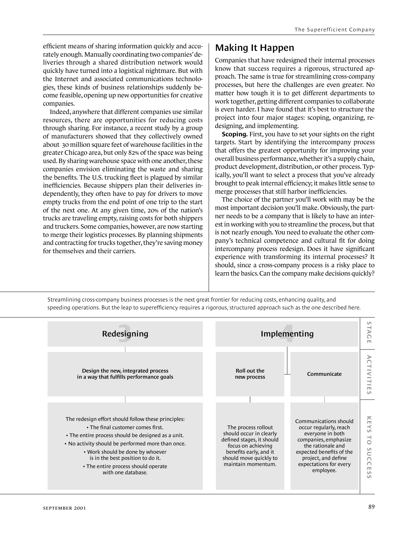efficient means of sharing information quickly and accurately enough. Manually coordinating two companies'deliveries through a shared distribution network would quickly have turned into a logistical nightmare. But with the Internet and associated communications technologies, these kinds of business relationships suddenly become feasible, opening up new opportunities for creative companies.

Indeed, anywhere that different companies use similar resources, there are opportunities for reducing costs through sharing. For instance, a recent study by a group of manufacturers showed that they collectively owned about 30 million square feet of warehouse facilities in the greater Chicago area, but only 82% of the space was being used. By sharing warehouse space with one another, these companies envision eliminating the waste and sharing the benefits. The U.S. trucking fleet is plagued by similar inefficiencies. Because shippers plan their deliveries independently, they often have to pay for drivers to move empty trucks from the end point of one trip to the start of the next one. At any given time, 20% of the nation's trucks are traveling empty, raising costs for both shippers and truckers. Some companies, however, are now starting to merge their logistics processes. By planning shipments and contracting for trucks together, they're saving money for themselves and their carriers.

#### **Making It Happen**

Companies that have redesigned their internal processes know that success requires a rigorous, structured approach. The same is true for streamlining cross-company processes, but here the challenges are even greater. No matter how tough it is to get different departments to work together, getting different companies to collaborate is even harder. I have found that it's best to structure the project into four major stages: scoping, organizing, redesigning, and implementing.

**Scoping.** First, you have to set your sights on the right targets. Start by identifying the intercompany process that offers the greatest opportunity for improving your overall business performance, whether it's a supply chain, product development, distribution, or other process. Typically, you'll want to select a process that you've already brought to peak internal efficiency; it makes little sense to merge processes that still harbor inefficiencies.

The choice of the partner you'll work with may be the most important decision you'll make. Obviously, the partner needs to be a company that is likely to have an interest in working with you to streamline the process, but that is not nearly enough. You need to evaluate the other company's technical competence and cultural fit for doing intercompany process redesign. Does it have significant experience with transforming its internal processes? It should, since a cross-company process is a risky place to learn the basics.Can the company make decisions quickly?

Streamlining cross-company business processes is the next great frontier for reducing costs, enhancing quality, and speeding operations. But the leap to superefficiency requires a rigorous, structured approach such as the one described here.

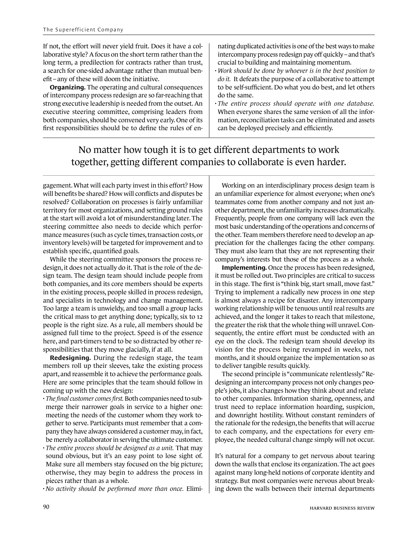If not, the effort will never yield fruit. Does it have a collaborative style? A focus on the short term rather than the long term, a predilection for contracts rather than trust, a search for one-sided advantage rather than mutual benefit – any of these will doom the initiative.

**Organizing.** The operating and cultural consequences of intercompany process redesign are so far-reaching that strong executive leadership is needed from the outset. An executive steering committee, comprising leaders from both companies, should be convened very early. One of its first responsibilities should be to define the rules of ennating duplicated activities is one of the best ways to make intercompany process redesign pay off quickly–and that's crucial to building and maintaining momentum.

- *Work should be done by whoever is in the best position to do it.* It defeats the purpose of a collaborative to attempt to be self-sufficient. Do what you do best, and let others do the same.
- *The entire process should operate with one database.* When everyone shares the same version of all the information, reconciliation tasks can be eliminated and assets can be deployed precisely and efficiently.

No matter how tough it is to get different departments to work together, getting different companies to collaborate is even harder.

gagement. What will each party invest in this effort? How will benefits be shared? How will conflicts and disputes be resolved? Collaboration on processes is fairly unfamiliar territory for most organizations, and setting ground rules at the start will avoid a lot of misunderstanding later. The steering committee also needs to decide which performance measures (such as cycle times, transaction costs, or inventory levels) will be targeted for improvement and to establish specific, quantified goals.

While the steering committee sponsors the process redesign, it does not actually do it. That is the role of the design team. The design team should include people from both companies, and its core members should be experts in the existing process, people skilled in process redesign, and specialists in technology and change management. Too large a team is unwieldy, and too small a group lacks the critical mass to get anything done; typically, six to 12 people is the right size. As a rule, all members should be assigned full time to the project. Speed is of the essence here, and part-timers tend to be so distracted by other responsibilities that they move glacially, if at all.

**Redesigning.** During the redesign stage, the team members roll up their sleeves, take the existing process apart, and reassemble it to achieve the performance goals. Here are some principles that the team should follow in coming up with the new design:

- *The final customer comes first.*Both companies need to submerge their narrower goals in service to a higher one: meeting the needs of the customer whom they work together to serve. Participants must remember that a company they have always considered a customer may,in fact, be merely a collaborator in serving the ultimate customer.
- *The entire process should be designed as a unit.* That may sound obvious, but it's an easy point to lose sight of. Make sure all members stay focused on the big picture; otherwise, they may begin to address the process in pieces rather than as a whole.
- *No activity should be performed more than once.* Elimi-

Working on an interdisciplinary process design team is an unfamiliar experience for almost everyone; when one's teammates come from another company and not just another department, the unfamiliarity increases dramatically. Frequently, people from one company will lack even the most basic understanding of the operations and concerns of the other. Team members therefore need to develop an appreciation for the challenges facing the other company. They must also learn that they are not representing their company's interests but those of the process as a whole.

**Implementing.** Once the process has been redesigned, it must be rolled out. Two principles are critical to success in this stage. The first is "think big, start small, move fast." Trying to implement a radically new process in one step is almost always a recipe for disaster. Any intercompany working relationship will be tenuous until real results are achieved, and the longer it takes to reach that milestone, the greater the risk that the whole thing will unravel. Consequently, the entire effort must be conducted with an eye on the clock. The redesign team should develop its vision for the process being revamped in weeks, not months, and it should organize the implementation so as to deliver tangible results quickly.

The second principle is "communicate relentlessly."Redesigning an intercompany process not only changes people's jobs, it also changes how they think about and relate to other companies. Information sharing, openness, and trust need to replace information hoarding, suspicion, and downright hostility. Without constant reminders of the rationale for the redesign, the benefits that will accrue to each company, and the expectations for every employee, the needed cultural change simply will not occur.

It's natural for a company to get nervous about tearing down the walls that enclose its organization. The act goes against many long-held notions of corporate identity and strategy. But most companies were nervous about breaking down the walls between their internal departments